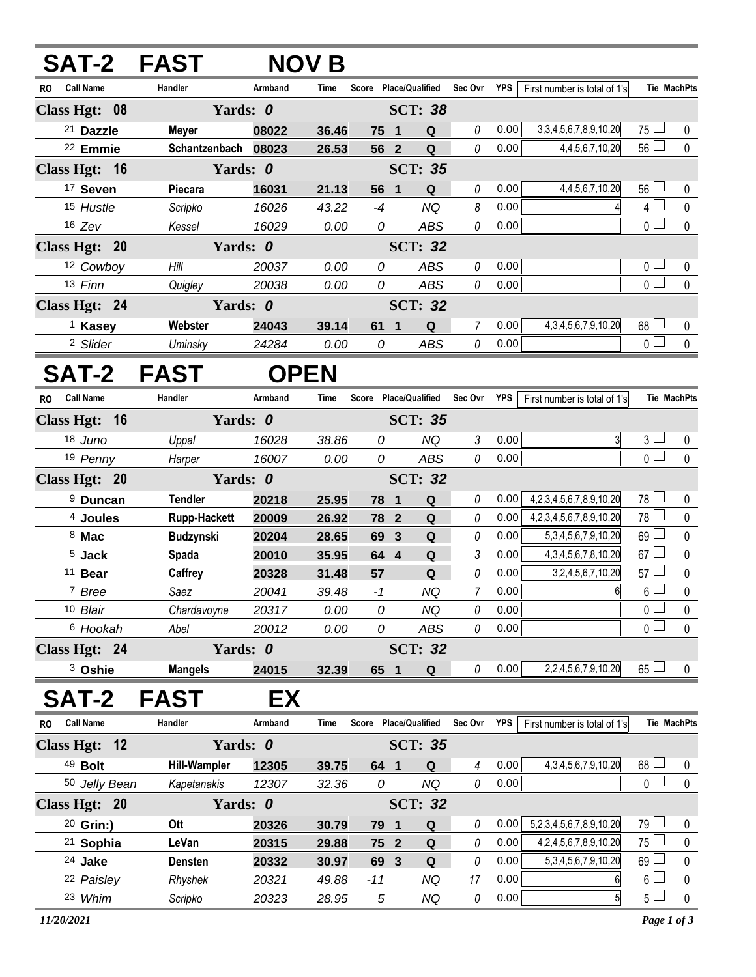| SAT-2 FAST                    |                     |             | <b>NOV B</b> |                 |                         |             |              |            |                                   |                 |                    |
|-------------------------------|---------------------|-------------|--------------|-----------------|-------------------------|-------------|--------------|------------|-----------------------------------|-----------------|--------------------|
| <b>Call Name</b><br>RO.       | Handler             | Armband     | Time         |                 | Score Place/Qualified   |             | Sec Ovr      | <b>YPS</b> | First number is total of 1's      |                 | Tie MachPts        |
| Class Hgt: 08                 | Yards: 0            |             |              |                 | <b>SCT: 38</b>          |             |              |            |                                   |                 |                    |
| <sup>21</sup> Dazzle          | Meyer               | 08022       | 36.46        | 75 1            |                         | $\mathbf Q$ | $\it{0}$     | 0.00       | 3, 3, 4, 5, 6, 7, 8, 9, 10, 20    | 75 l            | 0                  |
| <sup>22</sup> Emmie           | Schantzenbach 08023 |             | 26.53        | 56 2            |                         | $\mathbf Q$ | 0            | 0.00       | 4, 4, 5, 6, 7, 10, 20             | $56\Box$        | $\pmb{0}$          |
| Class Hgt: 16                 | Yards: 0            |             |              |                 | <b>SCT: 35</b>          |             |              |            |                                   |                 |                    |
| <sup>17</sup> Seven           | Piecara             | 16031       | 21.13        | 56 1            |                         | Q           | $\it{0}$     | 0.00       | 4,4,5,6,7,10,20                   | 56 <sup>1</sup> | 0                  |
| 15 Hustle                     | Scripko             | 16026       | 43.22        | $-4$            |                         | <b>NQ</b>   | 8            | 0.00       |                                   | 4 <sup>1</sup>  | $\pmb{0}$          |
| $16$ Zev                      | Kessel              | 16029       | 0.00         | 0               |                         | <b>ABS</b>  | 0            | 0.00       |                                   | 0 l             | $\mathbf 0$        |
| Class Hgt: 20                 | Yards: 0            |             |              |                 | <b>SCT: 32</b>          |             |              |            |                                   |                 |                    |
| 12 Cowboy                     | Hill                | 20037       | 0.00         | 0               |                         | <b>ABS</b>  | 0            | 0.00       |                                   | 0 <sub>0</sub>  | 0                  |
| 13 Finn                       | Quigley             | 20038       | 0.00         | 0               |                         | <b>ABS</b>  | 0            | 0.00       |                                   | $\overline{0}$  | $\mathbf 0$        |
| Class Hgt: 24                 | Yards: 0            |             |              |                 | <b>SCT: 32</b>          |             |              |            |                                   |                 |                    |
| <sup>1</sup> Kasey            | Webster             | 24043       | 39.14        | 61 1            |                         | $\mathbf Q$ | 7            | 0.00       | 4, 3, 4, 5, 6, 7, 9, 10, 20       | $68\Box$        | 0                  |
| <sup>2</sup> Slider           | Uminsky             | 24284       | 0.00         | 0               |                         | <b>ABS</b>  | $\mathcal O$ | 0.00       |                                   | 0 <sup>1</sup>  | $\mathbf 0$        |
| SAT-2 FAST                    |                     | <b>OPEN</b> |              |                 |                         |             |              |            |                                   |                 |                    |
| <b>Call Name</b><br><b>RO</b> | Handler             | Armband     | Time         |                 | Score Place/Qualified   |             | Sec Ovr      | <b>YPS</b> | First number is total of 1's      |                 | <b>Tie MachPts</b> |
| Class Hgt: 16                 | Yards: 0            |             |              |                 | <b>SCT: 35</b>          |             |              |            |                                   |                 |                    |
| 18 Juno                       | Uppal               | 16028       | 38.86        | 0               |                         | <b>NQ</b>   | 3            | 0.00       | 3                                 | $3\sqcup$       | 0                  |
| 19 Penny                      | Harper              | 16007       | 0.00         | 0               |                         | ABS         | 0            | 0.00       |                                   | $\overline{0}$  | $\mathbf 0$        |
| Class Hgt: 20                 | Yards: 0            |             |              |                 | <b>SCT: 32</b>          |             |              |            |                                   |                 |                    |
| <sup>9</sup> Duncan           | <b>Tendler</b>      | 20218       | 25.95        | 78              | $\mathbf{1}$            | $\mathbf Q$ | $\it{0}$     | 0.00       | 4, 2, 3, 4, 5, 6, 7, 8, 9, 10, 20 | 78              | 0                  |
| <sup>4</sup> Joules           | <b>Rupp-Hackett</b> | 20009       | 26.92        | 78 2            |                         | $\mathbf Q$ | 0            | 0.00       | 4,2,3,4,5,6,7,8,9,10,20           | 78 L            | $\pmb{0}$          |
| 8 Mac                         | Budzynski           | 20204       | 28.65        | 69              | $\mathbf{3}$            | ${\bf Q}$   | 0            | 0.00       | 5, 3, 4, 5, 6, 7, 9, 10, 20       | 69              | $\mathbf 0$        |
| 5 Jack                        | Spada               | 20010       | 35.95        | 64 4            |                         | ${\bf Q}$   | 3            | 0.00       | 4, 3, 4, 5, 6, 7, 8, 10, 20       | 67 <sup>1</sup> | $\pmb{0}$          |
| 11 Bear                       | Caffrey             | 20328       | 31.48        | 57              |                         | $\mathbf Q$ | 0            | 0.00       | 3,2,4,5,6,7,10,20                 | 57              | $\pmb{0}$          |
| 7 Bree                        | Saez                | 20041       | 39.48        | $-1$            |                         | <b>NQ</b>   | 7            | 0.00       | 6                                 | 6 <sup>1</sup>  | $\pmb{0}$          |
| 10 Blair                      | Chardavoyne         | 20317       | 0.00         | 0               |                         | <b>NQ</b>   | $\it{0}$     | 0.00       |                                   | 0 l             | $\pmb{0}$          |
| 6 Hookah                      | Abel                | 20012       | 0.00         | 0               |                         | ABS         | 0            | 0.00       |                                   | 0 <sub>1</sub>  | $\pmb{0}$          |
| Class Hgt: 24                 | Yards: 0            |             |              |                 | <b>SCT: 32</b>          |             |              |            |                                   |                 |                    |
| <sup>3</sup> Oshie            | <b>Mangels</b>      | 24015       | 32.39        | 65 1            |                         | $\mathbf Q$ | 0            | 0.00       | 2,2,4,5,6,7,9,10,20               | $65 \Box$       | 0                  |
| SAT-2                         | <b>FAST</b>         | EX          |              |                 |                         |             |              |            |                                   |                 |                    |
| <b>Call Name</b><br>RO        | Handler             | Armband     | Time         |                 | Score Place/Qualified   |             | Sec Ovr      | <b>YPS</b> | First number is total of 1's      |                 | <b>Tie MachPts</b> |
| Class Hgt: 12                 | Yards: 0            |             |              |                 | <b>SCT: 35</b>          |             |              |            |                                   |                 |                    |
| 49 Bolt                       | <b>Hill-Wampler</b> | 12305       | 39.75        | 64 1            |                         | Q           | 4            | 0.00       | 4, 3, 4, 5, 6, 7, 9, 10, 20       | 68              | 0                  |
| 50 Jelly Bean                 | Kapetanakis         | 12307       | 32.36        | 0               |                         | <b>NQ</b>   | 0            | 0.00       |                                   | 0 <sub>l</sub>  | $\pmb{0}$          |
| Class Hgt: 20                 | Yards: 0            |             |              |                 | <b>SCT: 32</b>          |             |              |            |                                   |                 |                    |
| <sup>20</sup> Grin:)          | Ott                 | 20326       | 30.79        | 79              | $\overline{\mathbf{1}}$ | Q           | 0            | 0.00       | 5,2,3,4,5,6,7,8,9,10,20           | 79 l            | 0                  |
| 21 Sophia                     | LeVan               | 20315       | 29.88        | 75 <sup>2</sup> |                         | $\mathbf Q$ | $\it{0}$     | 0.00       | 4,2,4,5,6,7,8,9,10,20             | 75 l            | $\pmb{0}$          |
| 24 Jake                       | Densten             | 20332       | 30.97        | 69 3            |                         | ${\bf Q}$   | 0            | 0.00       | 5, 3, 4, 5, 6, 7, 9, 10, 20       | 69              | 0                  |
| 22 Paisley                    | Rhyshek             | 20321       | 49.88        | $-11$           |                         | <b>NQ</b>   | 17           | 0.00       | 6                                 | 6 <sup>1</sup>  | $\pmb{0}$          |
| 23 Whim                       | Scripko             | 20323       | 28.95        | 5               |                         | <b>NQ</b>   | $\it{0}$     | 0.00       | 5 <sub>1</sub>                    | 5 <sub>1</sub>  | $\pmb{0}$          |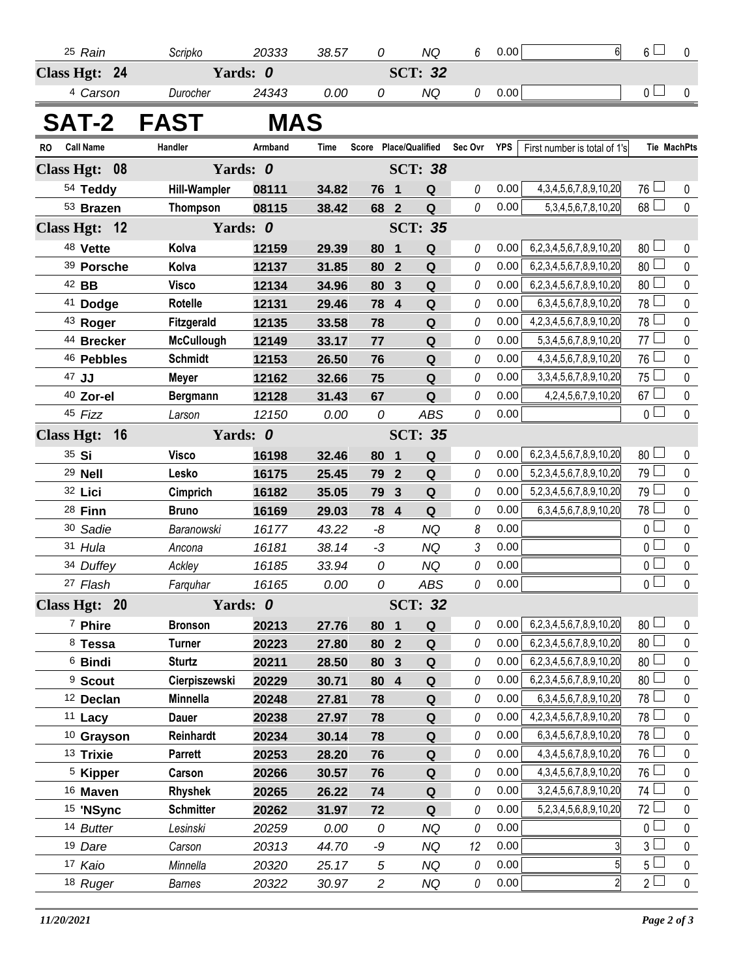| 25 Rain                       | Scripko             | 20333    | 38.57       | 0              |                         | <b>NQ</b>             | 6        | 0.00 | $6\overline{6}$                   | $_6$ $\Box$     | 0                  |
|-------------------------------|---------------------|----------|-------------|----------------|-------------------------|-----------------------|----------|------|-----------------------------------|-----------------|--------------------|
| Class Hgt: 24                 |                     | Yards: 0 |             |                |                         | <b>SCT: 32</b>        |          |      |                                   |                 |                    |
| 4 Carson                      | Durocher            | 24343    | 0.00        | 0              |                         | <b>NQ</b>             | 0        | 0.00 |                                   | 0 <sub>1</sub>  | 0                  |
| SAT-2 FAST                    |                     | MAS      |             |                |                         |                       |          |      |                                   |                 |                    |
| <b>Call Name</b><br><b>RO</b> | Handler             | Armband  | <b>Time</b> |                |                         | Score Place/Qualified | Sec Ovr  | YPS  | First number is total of 1's      |                 | <b>Tie MachPts</b> |
| <b>Class Hgt:</b><br>08       |                     | Yards: 0 |             |                |                         | <b>SCT: 38</b>        |          |      |                                   |                 |                    |
| 54 Teddy                      | <b>Hill-Wampler</b> | 08111    | 34.82       | 76             | $\overline{\mathbf{1}}$ | ${\bf Q}$             | 0        | 0.00 | 4, 3, 4, 5, 6, 7, 8, 9, 10, 20    | $76 \Box$       | 0                  |
| 53 Brazen                     | <b>Thompson</b>     | 08115    | 38.42       | 68 2           |                         | $\mathbf Q$           | 0        | 0.00 | 5, 3, 4, 5, 6, 7, 8, 10, 20       | 68              | $\mathbf 0$        |
| Class Hgt: 12<br>Yards: 0     |                     |          |             |                |                         | <b>SCT: 35</b>        |          |      |                                   |                 |                    |
| 48 Vette                      | Kolva               | 12159    | 29.39       | 80             | $\mathbf 1$             | ${\bf Q}$             | 0        | 0.00 | 6,2,3,4,5,6,7,8,9,10,20           | $80$ $\Box$     | 0                  |
| 39 Porsche                    | Kolva               | 12137    | 31.85       | 80             | $\overline{2}$          | Q                     | 0        | 0.00 | 6,2,3,4,5,6,7,8,9,10,20           | 80 <sup>2</sup> | 0                  |
| 42 BB                         | <b>Visco</b>        | 12134    | 34.96       | 80             | $\overline{3}$          | Q                     | 0        | 0.00 | 6,2,3,4,5,6,7,8,9,10,20           | 80 $\Box$       | 0                  |
| 41 Dodge                      | Rotelle             | 12131    | 29.46       | 78             | $\overline{\mathbf{4}}$ | Q                     | 0        | 0.00 | 6, 3, 4, 5, 6, 7, 8, 9, 10, 20    | 78 L            | 0                  |
| 43 Roger                      | Fitzgerald          | 12135    | 33.58       | 78             |                         | $\pmb{\mathsf{Q}}$    | 0        | 0.00 | 4, 2, 3, 4, 5, 6, 7, 8, 9, 10, 20 | $78$ $\Box$     | $\pmb{0}$          |
| 44 Brecker                    | <b>McCullough</b>   | 12149    | 33.17       | 77             |                         | ${\bf Q}$             | 0        | 0.00 | 5, 3, 4, 5, 6, 7, 8, 9, 10, 20    | 77 <sup>°</sup> | 0                  |
| 46 Pebbles                    | <b>Schmidt</b>      | 12153    | 26.50       | 76             |                         | ${\bf Q}$             | 0        | 0.00 | 4, 3, 4, 5, 6, 7, 8, 9, 10, 20    | $76\Box$        | 0                  |
| 47 JJ                         | <b>Meyer</b>        | 12162    | 32.66       | 75             |                         | Q                     | 0        | 0.00 | 3, 3, 4, 5, 6, 7, 8, 9, 10, 20    | $75\Box$        | 0                  |
| 40 Zor-el                     | <b>Bergmann</b>     | 12128    | 31.43       | 67             |                         | ${\bf Q}$             | 0        | 0.00 | 4,2,4,5,6,7,9,10,20               | $67$ $\Box$     | $\pmb{0}$          |
| 45 Fizz                       | Larson              | 12150    | 0.00        | 0              |                         | <b>ABS</b>            | $\theta$ | 0.00 |                                   | $\overline{0}$  | $\mathbf 0$        |
| <b>Class Hgt:</b><br>16       | Yards: 0            |          |             |                | <b>SCT: 35</b>          |                       |          |      |                                   |                 |                    |
| 35 Si                         | <b>Visco</b>        | 16198    | 32.46       | 80             | 1                       | $\mathbf Q$           | 0        | 0.00 | 6,2,3,4,5,6,7,8,9,10,20           | 80 <sup>1</sup> | 0                  |
| <sup>29</sup> Nell            | Lesko               | 16175    | 25.45       | 79             | $\overline{2}$          | Q                     | 0        | 0.00 | 5,2,3,4,5,6,7,8,9,10,20           | 79              | 0                  |
| 32 Lici                       | Cimprich            | 16182    | 35.05       | 79             | $\overline{3}$          | Q                     | 0        | 0.00 | 5,2,3,4,5,6,7,8,9,10,20           | 79 $\Box$       | 0                  |
| 28 Finn                       | <b>Bruno</b>        | 16169    | 29.03       | 78             | $\overline{4}$          | Q                     | 0        | 0.00 | 6, 3, 4, 5, 6, 7, 8, 9, 10, 20    | 78 <sup>°</sup> | 0                  |
| 30 Sadie                      | Baranowski          | 16177    | 43.22       | -8             |                         | <b>NQ</b>             | 8        | 0.00 |                                   | $\overline{0}$  | 0                  |
| 31 Hula                       | Ancona              | 16181    | 38.14       | $-3$           |                         | <b>NQ</b>             | 3        | 0.00 |                                   | 0 <sup>1</sup>  | 0                  |
| 34 Duffey                     | Ackley              | 16185    | 33.94       | 0              |                         | <b>NQ</b>             | 0        | 0.00 |                                   | $\overline{0}$  | 0                  |
| 27 Flash                      | Farquhar            | 16165    | 0.00        | 0              |                         | <b>ABS</b>            | 0        | 0.00 |                                   | $\overline{0}$  | 0                  |
| Class Hgt: 20                 |                     |          |             | <b>SCT: 32</b> |                         |                       |          |      |                                   |                 |                    |
| 7 Phire                       | <b>Bronson</b>      | 20213    | 27.76       | 80             | $\mathbf{1}$            | Q                     | 0        | 0.00 | 6,2,3,4,5,6,7,8,9,10,20           | $80$ $\Box$     | $\pmb{0}$          |
| <sup>8</sup> Tessa            | <b>Turner</b>       | 20223    | 27.80       | 80             | $\overline{2}$          | Q                     | 0        | 0.00 | 6,2,3,4,5,6,7,8,9,10,20           | $80\Box$        | $\pmb{0}$          |
| <sup>6</sup> Bindi            | <b>Sturtz</b>       | 20211    | 28.50       | 80             | $\mathbf{3}$            | Q                     | 0        | 0.00 | 6,2,3,4,5,6,7,8,9,10,20           | $80$ $\Box$     | $\pmb{0}$          |
| <sup>9</sup> Scout            | Cierpiszewski       | 20229    | 30.71       | 80             | $\overline{\mathbf{4}}$ | Q                     | 0        | 0.00 | 6,2,3,4,5,6,7,8,9,10,20           | 80 <sup>2</sup> | 0                  |
| <sup>12</sup> Declan          | Minnella            | 20248    | 27.81       | 78             |                         | Q                     | 0        | 0.00 | 6, 3, 4, 5, 6, 7, 8, 9, 10, 20    | 78              | 0                  |
| <sup>11</sup> Lacy            | <b>Dauer</b>        | 20238    | 27.97       | 78             |                         | Q                     | 0        | 0.00 | 4, 2, 3, 4, 5, 6, 7, 8, 9, 10, 20 | 78 L            | 0                  |
| <sup>10</sup> Grayson         | Reinhardt           | 20234    | 30.14       | 78             |                         | Q                     | 0        | 0.00 | 6, 3, 4, 5, 6, 7, 8, 9, 10, 20    | 78              | $\pmb{0}$          |
| 13 Trixie                     | <b>Parrett</b>      | 20253    | 28.20       | 76             |                         | Q                     | 0        | 0.00 | 4, 3, 4, 5, 6, 7, 8, 9, 10, 20    | $76\Box$        | 0                  |
| <sup>5</sup> Kipper           | Carson              | 20266    | 30.57       | 76             |                         | Q                     | 0        | 0.00 | 4, 3, 4, 5, 6, 7, 8, 9, 10, 20    | 76 L            | 0                  |
| <sup>16</sup> Maven           | Rhyshek             | 20265    | 26.22       | 74             |                         | Q                     | 0        | 0.00 | 3,2,4,5,6,7,8,9,10,20             | 74 L            | 0                  |
| <sup>15</sup> 'NSync          | <b>Schmitter</b>    | 20262    | 31.97       | 72             |                         | Q                     | 0        | 0.00 | 5,2,3,4,5,6,8,9,10,20             | 72 L            | $\pmb{0}$          |
| 14 Butter                     | Lesinski            | 20259    | 0.00        | 0              |                         | <b>NQ</b>             | 0        | 0.00 |                                   | $\overline{0}$  | $\pmb{0}$          |
| 19 Dare                       | Carson              | 20313    | 44.70       | -9             |                         | NQ                    | 12       | 0.00 | $\overline{3}$                    | $3^{\square}$   | $\pmb{0}$          |
| 17 Kaio                       | Minnella            | 20320    | 25.17       | $\sqrt{5}$     |                         | <b>NQ</b>             | 0        | 0.00 | $5\overline{)}$                   | 5 <sup>L</sup>  | $\pmb{0}$          |
| 18 Ruger                      | Barnes              | 20322    | 30.97       | $\overline{c}$ |                         | <b>NQ</b>             | 0        | 0.00 | $\overline{2}$                    | $2^{\square}$   | $\pmb{0}$          |